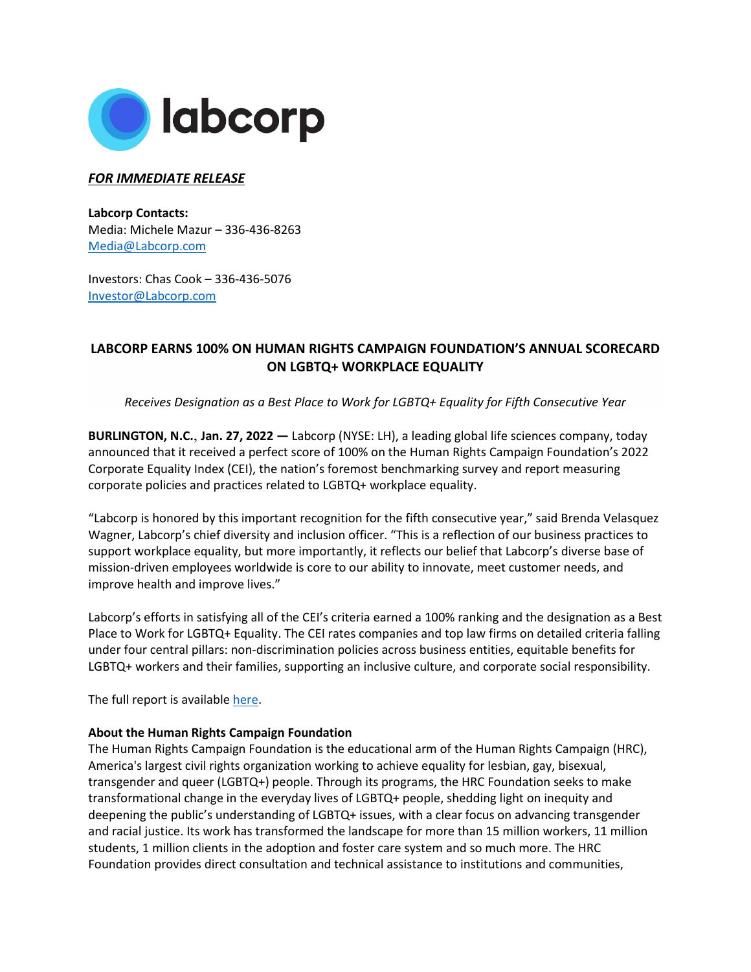

## *FOR IMMEDIATE RELEASE*

**Labcorp Contacts:** Media: Michele Mazur – 336-436-8263 [Media@Labcorp.com](mailto:Media@LabCorp.com)

Investors: Chas Cook – 336-436-5076 [Investor@Labcorp.com](mailto:Investor@LabCorp.com)

## **LABCORP EARNS 100% ON HUMAN RIGHTS CAMPAIGN FOUNDATION'S ANNUAL SCORECARD ON LGBTQ+ WORKPLACE EQUALITY**

*Receives Designation as a Best Place to Work for LGBTQ+ Equality for Fifth Consecutive Year*

**BURLINGTON, N.C.**, **Jan. 27, 2022 —** Labcorp (NYSE: LH), a leading global life sciences company, today announced that it received a perfect score of 100% on the Human Rights Campaign Foundation's 2022 Corporate Equality Index (CEI), the nation's foremost benchmarking survey and report measuring corporate policies and practices related to LGBTQ+ workplace equality.

"Labcorp is honored by this important recognition for the fifth consecutive year," said Brenda Velasquez Wagner, Labcorp's chief diversity and inclusion officer. "This is a reflection of our business practices to support workplace equality, but more importantly, it reflects our belief that Labcorp's diverse base of mission-driven employees worldwide is core to our ability to innovate, meet customer needs, and improve health and improve lives."

Labcorp's efforts in satisfying all of the CEI's criteria earned a 100% ranking and the designation as a Best Place to Work for LGBTQ+ Equality. The CEI rates companies and top law firms on detailed criteria falling under four central pillars: non-discrimination policies across business entities, equitable benefits for LGBTQ+ workers and their families, supporting an inclusive culture, and corporate social responsibility.

The full report is available [here.](https://reports.hrc.org/corporate-equality-index-2022?_ga=2.20073917.428586839.1643292573-2004889923.1643292573)

## **About the Human Rights Campaign Foundation**

The Human Rights Campaign Foundation is the educational arm of the Human Rights Campaign (HRC), America's largest civil rights organization working to achieve equality for lesbian, gay, bisexual, transgender and queer (LGBTQ+) people. Through its programs, the HRC Foundation seeks to make transformational change in the everyday lives of LGBTQ+ people, shedding light on inequity and deepening the public's understanding of LGBTQ+ issues, with a clear focus on advancing transgender and racial justice. Its work has transformed the landscape for more than 15 million workers, 11 million students, 1 million clients in the adoption and foster care system and so much more. The HRC Foundation provides direct consultation and technical assistance to institutions and communities,